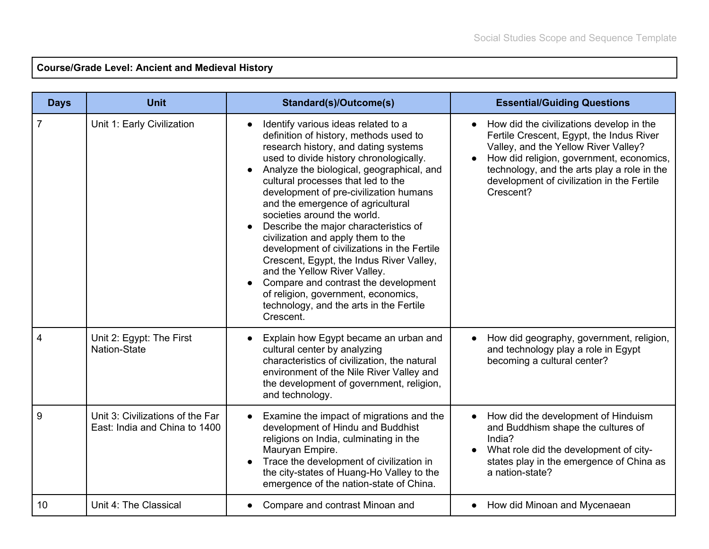## **Course/Grade Level: Ancient and Medieval History**

| <b>Days</b> | <b>Unit</b>                                                       | <b>Standard(s)/Outcome(s)</b>                                                                                                                                                                                                                                                                                                                                                                                                                                                                                                                                                                                                                                                                                      | <b>Essential/Guiding Questions</b>                                                                                                                                                                                                                                                 |
|-------------|-------------------------------------------------------------------|--------------------------------------------------------------------------------------------------------------------------------------------------------------------------------------------------------------------------------------------------------------------------------------------------------------------------------------------------------------------------------------------------------------------------------------------------------------------------------------------------------------------------------------------------------------------------------------------------------------------------------------------------------------------------------------------------------------------|------------------------------------------------------------------------------------------------------------------------------------------------------------------------------------------------------------------------------------------------------------------------------------|
|             | Unit 1: Early Civilization                                        | Identify various ideas related to a<br>definition of history, methods used to<br>research history, and dating systems<br>used to divide history chronologically.<br>Analyze the biological, geographical, and<br>cultural processes that led to the<br>development of pre-civilization humans<br>and the emergence of agricultural<br>societies around the world.<br>Describe the major characteristics of<br>civilization and apply them to the<br>development of civilizations in the Fertile<br>Crescent, Egypt, the Indus River Valley,<br>and the Yellow River Valley.<br>Compare and contrast the development<br>of religion, government, economics,<br>technology, and the arts in the Fertile<br>Crescent. | How did the civilizations develop in the<br>Fertile Crescent, Egypt, the Indus River<br>Valley, and the Yellow River Valley?<br>How did religion, government, economics,<br>technology, and the arts play a role in the<br>development of civilization in the Fertile<br>Crescent? |
| 4           | Unit 2: Egypt: The First<br>Nation-State                          | Explain how Egypt became an urban and<br>cultural center by analyzing<br>characteristics of civilization, the natural<br>environment of the Nile River Valley and<br>the development of government, religion,<br>and technology.                                                                                                                                                                                                                                                                                                                                                                                                                                                                                   | How did geography, government, religion,<br>and technology play a role in Egypt<br>becoming a cultural center?                                                                                                                                                                     |
| 9           | Unit 3: Civilizations of the Far<br>East: India and China to 1400 | Examine the impact of migrations and the<br>development of Hindu and Buddhist<br>religions on India, culminating in the<br>Mauryan Empire.<br>Trace the development of civilization in<br>the city-states of Huang-Ho Valley to the<br>emergence of the nation-state of China.                                                                                                                                                                                                                                                                                                                                                                                                                                     | How did the development of Hinduism<br>and Buddhism shape the cultures of<br>India?<br>What role did the development of city-<br>states play in the emergence of China as<br>a nation-state?                                                                                       |
| 10          | Unit 4: The Classical                                             | Compare and contrast Minoan and                                                                                                                                                                                                                                                                                                                                                                                                                                                                                                                                                                                                                                                                                    | How did Minoan and Mycenaean<br>$\bullet$                                                                                                                                                                                                                                          |